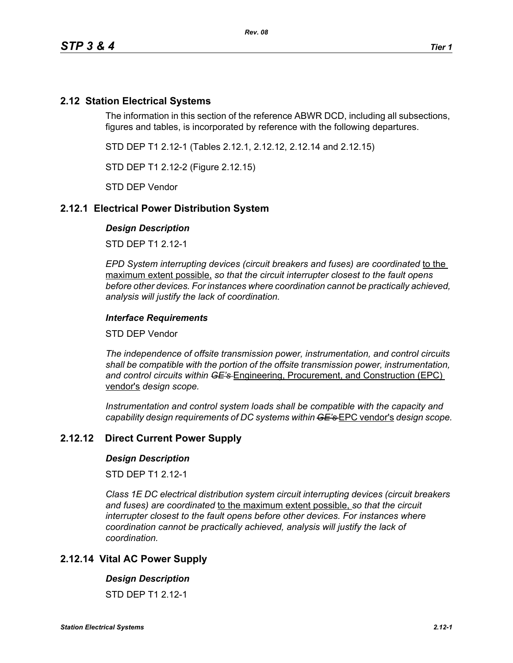# **2.12 Station Electrical Systems**

The information in this section of the reference ABWR DCD, including all subsections, figures and tables, is incorporated by reference with the following departures.

STD DEP T1 2.12-1 (Tables 2.12.1, 2.12.12, 2.12.14 and 2.12.15)

STD DEP T1 2.12-2 (Figure 2.12.15)

STD DEP Vendor

# **2.12.1 Electrical Power Distribution System**

### *Design Description*

STD DEP T1 2.12-1

*EPD System interrupting devices (circuit breakers and fuses) are coordinated to the* maximum extent possible, *so that the circuit interrupter closest to the fault opens before other devices. For instances where coordination cannot be practically achieved, analysis will justify the lack of coordination.*

## *Interface Requirements*

STD DEP Vendor

*The independence of offsite transmission power, instrumentation, and control circuits shall be compatible with the portion of the offsite transmission power, instrumentation, and control circuits within GE's* Engineering, Procurement, and Construction (EPC) vendor's *design scope.*

*Instrumentation and control system loads shall be compatible with the capacity and capability design requirements of DC systems within GE's* EPC vendor's *design scope.*

# **2.12.12 Direct Current Power Supply**

### *Design Description*

STD DFP T1 2 12-1

*Class 1E DC electrical distribution system circuit interrupting devices (circuit breakers and fuses) are coordinated* to the maximum extent possible, *so that the circuit interrupter closest to the fault opens before other devices. For instances where coordination cannot be practically achieved, analysis will justify the lack of coordination.*

# **2.12.14 Vital AC Power Supply**

### *Design Description*

STD DFP T1 2 12-1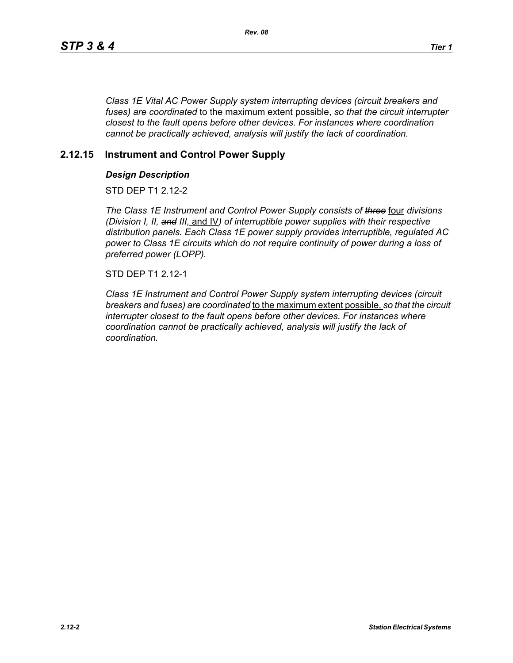*Class 1E Vital AC Power Supply system interrupting devices (circuit breakers and fuses) are coordinated* to the maximum extent possible, *so that the circuit interrupter closest to the fault opens before other devices. For instances where coordination cannot be practically achieved, analysis will justify the lack of coordination.*

# **2.12.15 Instrument and Control Power Supply**

## *Design Description*

STD DFP T1 2 12-2

*The Class 1E Instrument and Control Power Supply consists of three* four *divisions (Division I, II, and III,* and IV*) of interruptible power supplies with their respective distribution panels. Each Class 1E power supply provides interruptible, regulated AC power to Class 1E circuits which do not require continuity of power during a loss of preferred power (LOPP).*

STD DEP T1 2.12-1

*Class 1E Instrument and Control Power Supply system interrupting devices (circuit breakers and fuses) are coordinated* to the maximum extent possible, *so that the circuit interrupter closest to the fault opens before other devices. For instances where coordination cannot be practically achieved, analysis will justify the lack of coordination.*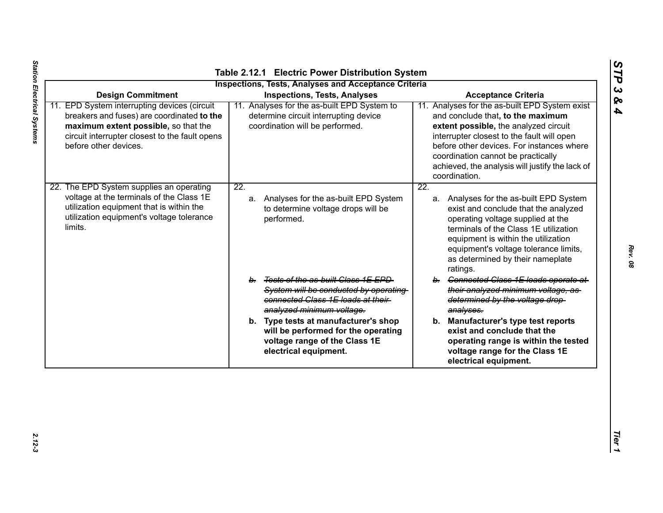| <b>Inspections, Tests, Analyses and Acceptance Criteria</b><br><b>Design Commitment</b><br><b>Inspections, Tests, Analyses</b><br><b>Acceptance Criteria</b>                                                  |                                                                                                                                                  |                                                                                                                                                                                                                                                                                                                                   |  |  |  |  |  |
|---------------------------------------------------------------------------------------------------------------------------------------------------------------------------------------------------------------|--------------------------------------------------------------------------------------------------------------------------------------------------|-----------------------------------------------------------------------------------------------------------------------------------------------------------------------------------------------------------------------------------------------------------------------------------------------------------------------------------|--|--|--|--|--|
| 11. EPD System interrupting devices (circuit<br>breakers and fuses) are coordinated to the<br>maximum extent possible, so that the<br>circuit interrupter closest to the fault opens<br>before other devices. | 11. Analyses for the as-built EPD System to<br>determine circuit interrupting device<br>coordination will be performed.                          | 11. Analyses for the as-built EPD System exist<br>and conclude that, to the maximum<br>extent possible, the analyzed circuit<br>interrupter closest to the fault will open<br>before other devices. For instances where<br>coordination cannot be practically<br>achieved, the analysis will justify the lack of<br>coordination. |  |  |  |  |  |
| 22. The EPD System supplies an operating<br>voltage at the terminals of the Class 1E<br>utilization equipment that is within the<br>utilization equipment's voltage tolerance<br>limits.                      | $\overline{22}$ .<br>a. Analyses for the as-built EPD System<br>to determine voltage drops will be<br>performed.                                 | $\overline{22}$ .<br>a. Analyses for the as-built EPD System<br>exist and conclude that the analyzed<br>operating voltage supplied at the<br>terminals of the Class 1E utilization<br>equipment is within the utilization<br>equipment's voltage tolerance limits,<br>as determined by their nameplate<br>ratings.                |  |  |  |  |  |
|                                                                                                                                                                                                               | b. Tests of the as-built Class 1E EPD<br>System will be conducted by operating<br>connected Class 1E loads at their<br>analyzed minimum voltage. | b. Connected Class 1E loads operate at<br>their analyzed minimum voltage, as<br>determined by the voltage drop-<br>analyses.                                                                                                                                                                                                      |  |  |  |  |  |
|                                                                                                                                                                                                               | b. Type tests at manufacturer's shop<br>will be performed for the operating<br>voltage range of the Class 1E<br>electrical equipment.            | b. Manufacturer's type test reports<br>exist and conclude that the<br>operating range is within the tested<br>voltage range for the Class 1E<br>electrical equipment.                                                                                                                                                             |  |  |  |  |  |

*STP 3 & 4*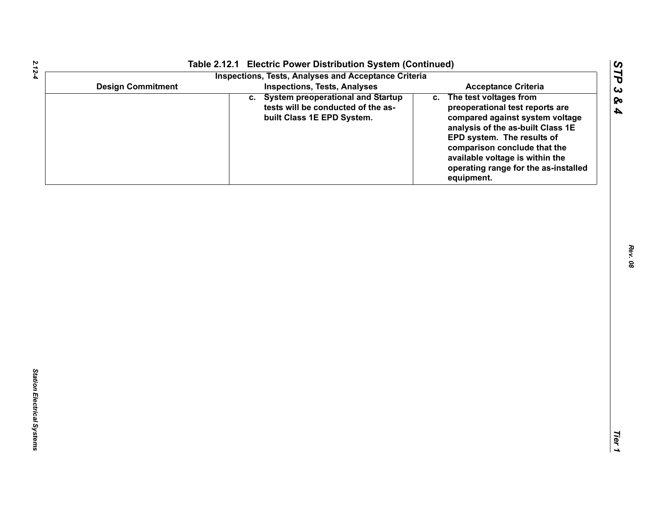| <b>Design Commitment</b><br><b>Inspections, Tests, Analyses</b><br><b>Acceptance Criteria</b><br>c. System preoperational and Startup<br>c. The test voltages from<br>tests will be conducted of the as-<br>preoperational test reports are<br>built Class 1E EPD System.<br>analysis of the as-built Class 1E<br>EPD system. The results of<br>comparison conclude that the<br>available voltage is within the<br>equipment. | Table 2.12.1 Electric Power Distribution System (Continued)<br><b>Inspections, Tests, Analyses and Acceptance Criteria</b> |                                                                         |
|-------------------------------------------------------------------------------------------------------------------------------------------------------------------------------------------------------------------------------------------------------------------------------------------------------------------------------------------------------------------------------------------------------------------------------|----------------------------------------------------------------------------------------------------------------------------|-------------------------------------------------------------------------|
|                                                                                                                                                                                                                                                                                                                                                                                                                               |                                                                                                                            |                                                                         |
|                                                                                                                                                                                                                                                                                                                                                                                                                               |                                                                                                                            | compared against system voltage<br>operating range for the as-installed |
|                                                                                                                                                                                                                                                                                                                                                                                                                               |                                                                                                                            |                                                                         |
|                                                                                                                                                                                                                                                                                                                                                                                                                               |                                                                                                                            |                                                                         |
|                                                                                                                                                                                                                                                                                                                                                                                                                               |                                                                                                                            |                                                                         |
|                                                                                                                                                                                                                                                                                                                                                                                                                               |                                                                                                                            |                                                                         |
|                                                                                                                                                                                                                                                                                                                                                                                                                               |                                                                                                                            |                                                                         |
|                                                                                                                                                                                                                                                                                                                                                                                                                               |                                                                                                                            |                                                                         |
|                                                                                                                                                                                                                                                                                                                                                                                                                               |                                                                                                                            |                                                                         |
|                                                                                                                                                                                                                                                                                                                                                                                                                               |                                                                                                                            |                                                                         |
|                                                                                                                                                                                                                                                                                                                                                                                                                               |                                                                                                                            |                                                                         |

*2.12-4*

*STP 3 & 4*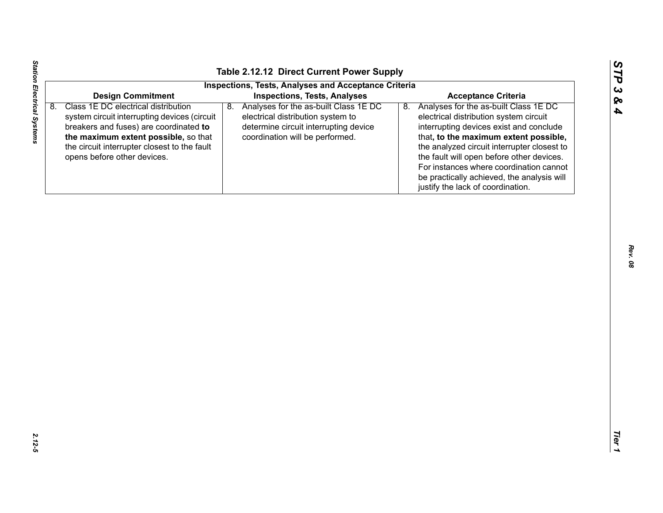| い  |
|----|
| ట  |
| Qς |
| A  |

| <b>Inspections, Tests, Analyses and Acceptance Criteria</b><br><b>Inspections, Tests, Analyses</b><br><b>Design Commitment</b><br><b>Acceptance Criteria</b><br>Class 1E DC electrical distribution<br>Analyses for the as-built Class 1E DC<br>Analyses for the as-built Class 1E DC<br>8.<br>8.<br>8.<br>electrical distribution system to<br>electrical distribution system circuit<br>system circuit interrupting devices (circuit<br>breakers and fuses) are coordinated to<br>determine circuit interrupting device<br>interrupting devices exist and conclude<br>the maximum extent possible, so that<br>coordination will be performed.<br>that, to the maximum extent possible,<br>the circuit interrupter closest to the fault<br>the analyzed circuit interrupter closest to<br>the fault will open before other devices.<br>opens before other devices. |
|---------------------------------------------------------------------------------------------------------------------------------------------------------------------------------------------------------------------------------------------------------------------------------------------------------------------------------------------------------------------------------------------------------------------------------------------------------------------------------------------------------------------------------------------------------------------------------------------------------------------------------------------------------------------------------------------------------------------------------------------------------------------------------------------------------------------------------------------------------------------|
|                                                                                                                                                                                                                                                                                                                                                                                                                                                                                                                                                                                                                                                                                                                                                                                                                                                                     |
|                                                                                                                                                                                                                                                                                                                                                                                                                                                                                                                                                                                                                                                                                                                                                                                                                                                                     |
| For instances where coordination cannot<br>be practically achieved, the analysis will<br>justify the lack of coordination.                                                                                                                                                                                                                                                                                                                                                                                                                                                                                                                                                                                                                                                                                                                                          |
|                                                                                                                                                                                                                                                                                                                                                                                                                                                                                                                                                                                                                                                                                                                                                                                                                                                                     |

Station Electrical Systems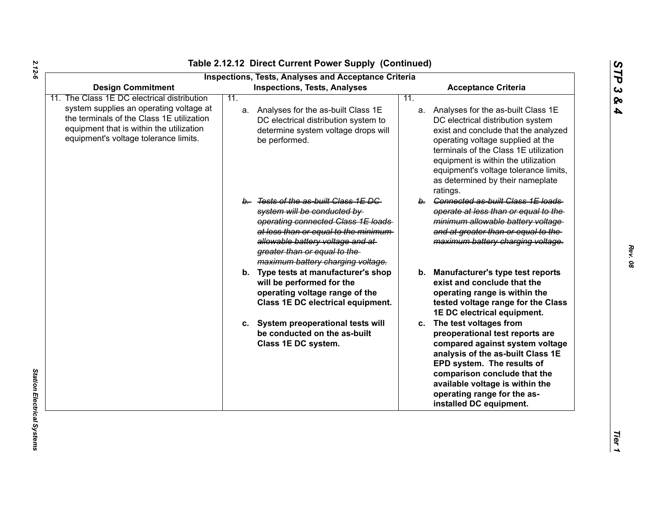*STP 3 & 4*

| <b>Design Commitment</b>                                                                                                                                                  | <b>Inspections, Tests, Analyses and Acceptance Criteria</b><br><b>Inspections, Tests, Analyses</b>                                                                                                                                                           | <b>Acceptance Criteria</b>                                                                                                                                                                                                                                                                                                       |
|---------------------------------------------------------------------------------------------------------------------------------------------------------------------------|--------------------------------------------------------------------------------------------------------------------------------------------------------------------------------------------------------------------------------------------------------------|----------------------------------------------------------------------------------------------------------------------------------------------------------------------------------------------------------------------------------------------------------------------------------------------------------------------------------|
| The Class 1E DC electrical distribution                                                                                                                                   | 11.                                                                                                                                                                                                                                                          | 11.                                                                                                                                                                                                                                                                                                                              |
| system supplies an operating voltage at<br>the terminals of the Class 1E utilization<br>equipment that is within the utilization<br>equipment's voltage tolerance limits. | a. Analyses for the as-built Class 1E<br>DC electrical distribution system to<br>determine system voltage drops will<br>be performed.                                                                                                                        | a. Analyses for the as-built Class 1E<br>DC electrical distribution system<br>exist and conclude that the analyzed<br>operating voltage supplied at the<br>terminals of the Class 1E utilization<br>equipment is within the utilization<br>equipment's voltage tolerance limits,<br>as determined by their nameplate<br>ratings. |
|                                                                                                                                                                           | b. Tests of the as-built Class 1E DC<br>system will be conducted by<br>operating connected Class 1E loads<br>at less than or equal to the minimum-<br>allowable battery voltage and at-<br>greater than or equal to the<br>maximum battery charging voltage. | b. Connected as-built Class 1E loads<br>operate at less than or equal to the<br>minimum allowable battery voltage<br>and at greater than or equal to the<br>maximum battery charging voltage.                                                                                                                                    |
|                                                                                                                                                                           | b. Type tests at manufacturer's shop<br>will be performed for the<br>operating voltage range of the<br>Class 1E DC electrical equipment.                                                                                                                     | b. Manufacturer's type test reports<br>exist and conclude that the<br>operating range is within the<br>tested voltage range for the Class<br>1E DC electrical equipment.                                                                                                                                                         |
|                                                                                                                                                                           | c. System preoperational tests will<br>be conducted on the as-built<br>Class 1E DC system.                                                                                                                                                                   | c. The test voltages from<br>preoperational test reports are<br>compared against system voltage<br>analysis of the as-built Class 1E<br>EPD system. The results of<br>comparison conclude that the<br>available voltage is within the<br>operating range for the as-<br>installed DC equipment.                                  |

*2.12-6*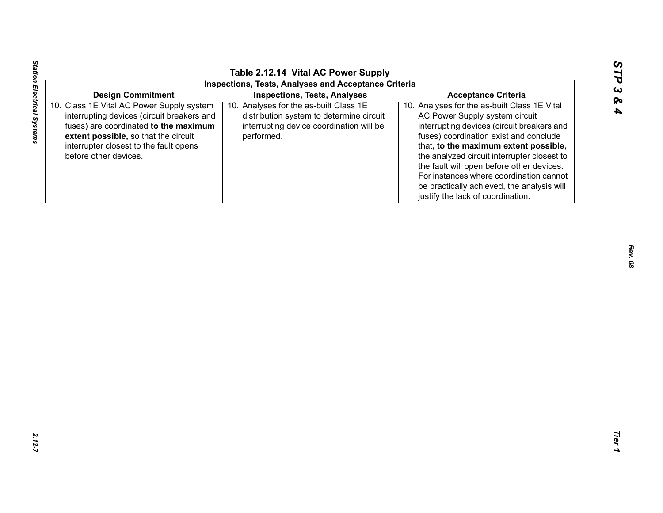| ທ                     |
|-----------------------|
| $\blacktriangleright$ |
| D                     |
| ట                     |
|                       |
| ∞                     |
| 4                     |
|                       |
|                       |

Station Electrical Systems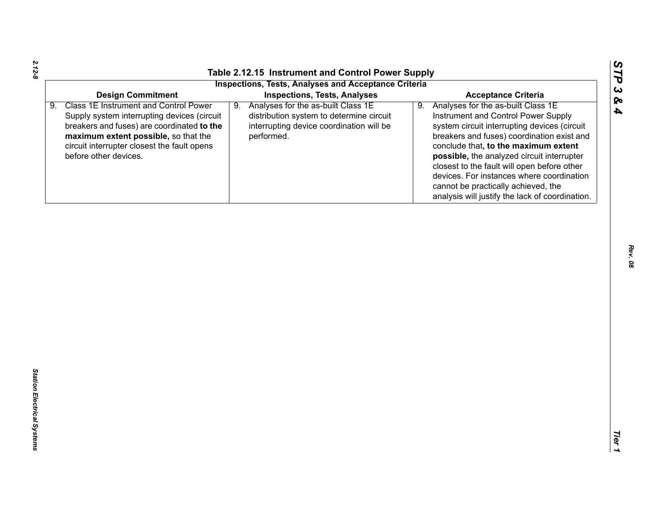*STP 3 & 4*